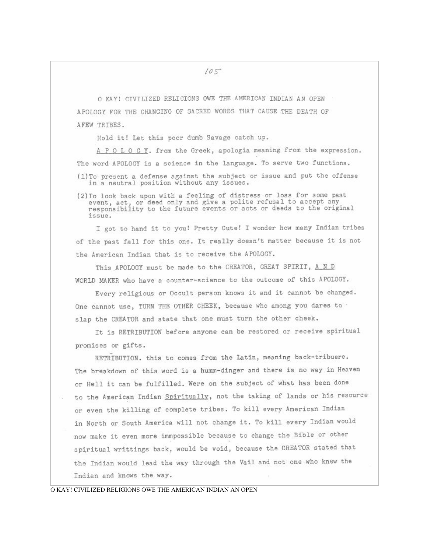O KAY! CIVILIZED RELIGIONS OWE THE AMERICAN INDIAN AN OPEN APOLOGY FOR THE CHANGING OF SACRED WORDS THAT CAUSE THE DEATH OF AFEW TRIBES.

Hold it! Let this poor dumb Savage catch up.

A P O L O G Y. from the Greek, apologia meaning from the expression. The word APOLOGY is a science in the language. To serve two functions. (1)To present a defense against the subject or issue and put the offense in a neutral position without any issues.

(2) To look back upon with a feeling of distress or loss for some past event, act, or deed only and give a polite refusal to accept any<br>responsibility to the future events or acts or deeds to the original issue.

I got to hand it to you! Pretty Cute! I wonder how many Indian tribes of the past fall for this one. It really doesn't matter because it is not the American Indian that is to receive the APOLOGY.

This APOLOGY must be made to the CREATOR, GREAT SPIRIT, A N D WORLD MAKER who have a counter-science to the outcome of this APOLOGY.

Every religious or Occult person knows it and it cannot be changed. One cannot use, TURN THE OTHER CHEEK, because who among you dares to slap the CREATOR and state that one must turn the other cheek.

It is RETRIBUTION before anyone can be restored or receive spiritual promises or gifts.

RETRIBUTION. this to comes from the Latin, meaning back-tribuere. The breakdown of this word is a humm-dinger and there is no way in Heaven or Hell it can be fulfilled. Were on the subject of what has been done to the American Indian Spiritually, not the taking of lands or his resource or even the killing of complete tribes. To kill every American Indian in North or South America will not change it. To kill every Indian would now make it even more immpossible because to change the Bible or other spiritual writtings back, would be void, because the CREATOR stated that the Indian would lead the way through the Vail and not one who knew the Indian and knows the way.

## O KAY! CIVILIZED RELIGIONS OWE THE AMERICAN INDIAN AN OPEN